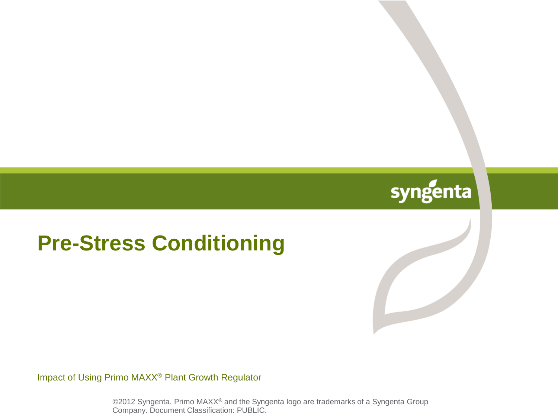## syngenta

#### **Pre-Stress Conditioning**

Impact of Using Primo MAXX® Plant Growth Regulator

©2012 Syngenta. Primo MAXX® and the Syngenta logo are trademarks of a Syngenta Group Company. Document Classification: PUBLIC.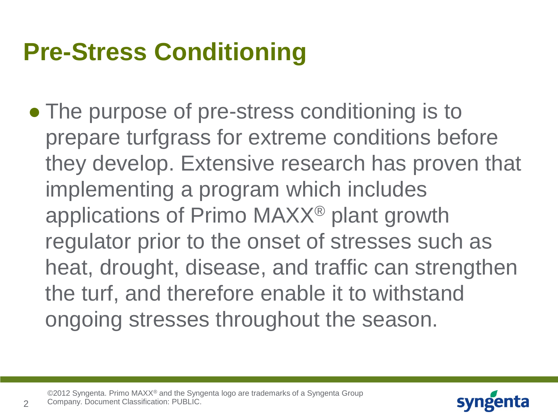# **Pre-Stress Conditioning**

• The purpose of pre-stress conditioning is to prepare turfgrass for extreme conditions before they develop. Extensive research has proven that implementing a program which includes applications of Primo MAXX® plant growth regulator prior to the onset of stresses such as heat, drought, disease, and traffic can strengthen the turf, and therefore enable it to withstand ongoing stresses throughout the season.



 $\mathcal{P}$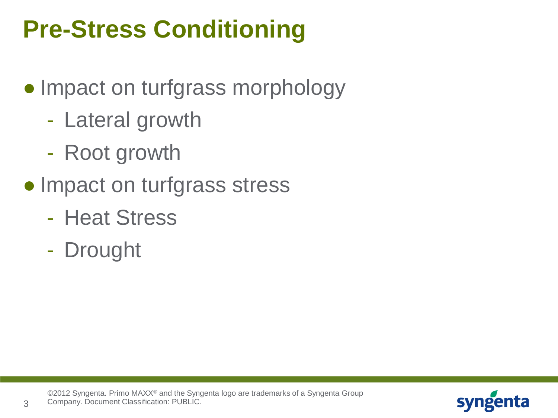# **Pre-Stress Conditioning**

- Impact on turfgrass morphology
	- Lateral growth
	- Root growth
- Impact on turfgrass stress
	- Heat Stress
	- Drought

3

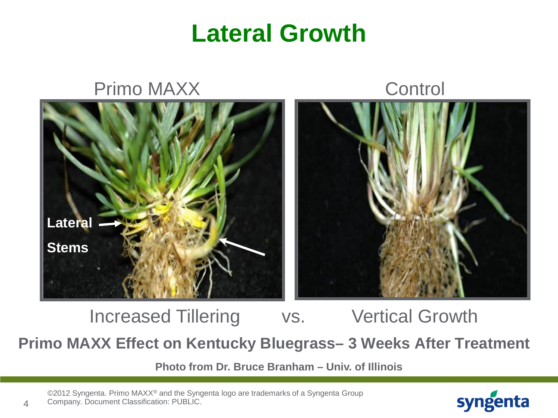#### **Lateral Growth**



**Primo MAXX Effect on Kentucky Bluegrass– 3 Weeks After Treatment**  Increased Tillering vs. Vertical Growth

**Photo from Dr. Bruce Branham – Univ. of Illinois**

©2012 Syngenta. Primo MAXX® and the Syngenta logo are trademarks of a Syngenta Group Company. Document Classification: PUBLIC.

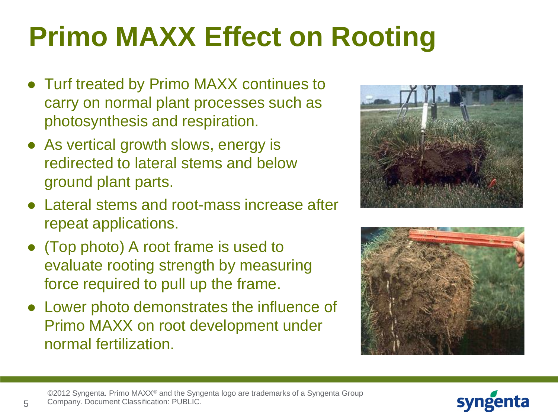# **Primo MAXX Effect on Rooting**

- Turf treated by Primo MAXX continues to carry on normal plant processes such as photosynthesis and respiration.
- As vertical growth slows, energy is redirected to lateral stems and below ground plant parts.
- Lateral stems and root-mass increase after repeat applications.
- (Top photo) A root frame is used to evaluate rooting strength by measuring force required to pull up the frame.
- Lower photo demonstrates the influence of Primo MAXX on root development under normal fertilization.





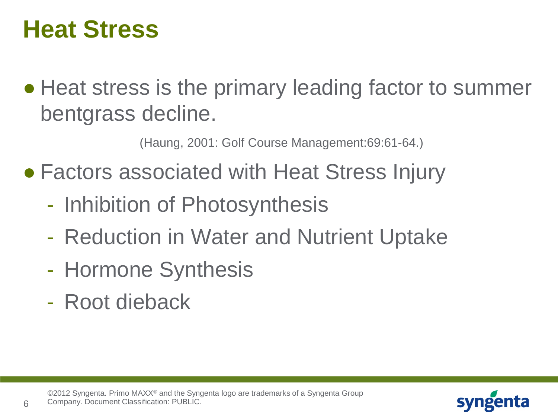## **Heat Stress**

• Heat stress is the primary leading factor to summer bentgrass decline.

(Haung, 2001: Golf Course Management:69:61-64.)

- Factors associated with Heat Stress Injury
	- Inhibition of Photosynthesis
	- Reduction in Water and Nutrient Uptake
	- Hormone Synthesis
	- Root dieback

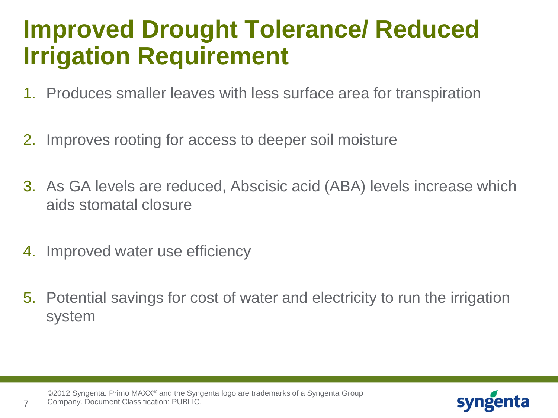## **Improved Drought Tolerance/ Reduced Irrigation Requirement**

- 1. Produces smaller leaves with less surface area for transpiration
- 2. Improves rooting for access to deeper soil moisture
- 3. As GA levels are reduced, Abscisic acid (ABA) levels increase which aids stomatal closure
- 4. Improved water use efficiency

7

5. Potential savings for cost of water and electricity to run the irrigation system

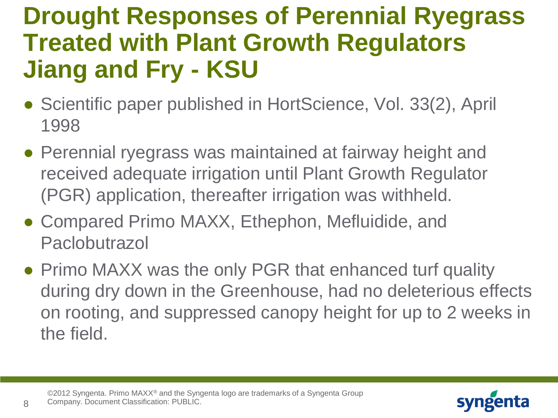## **Drought Responses of Perennial Ryegrass Treated with Plant Growth Regulators Jiang and Fry - KSU**

- Scientific paper published in HortScience, Vol. 33(2), April 1998
- Perennial ryegrass was maintained at fairway height and received adequate irrigation until Plant Growth Regulator (PGR) application, thereafter irrigation was withheld.
- Compared Primo MAXX, Ethephon, Mefluidide, and **Paclobutrazol**
- Primo MAXX was the only PGR that enhanced turf quality during dry down in the Greenhouse, had no deleterious effects on rooting, and suppressed canopy height for up to 2 weeks in the field.



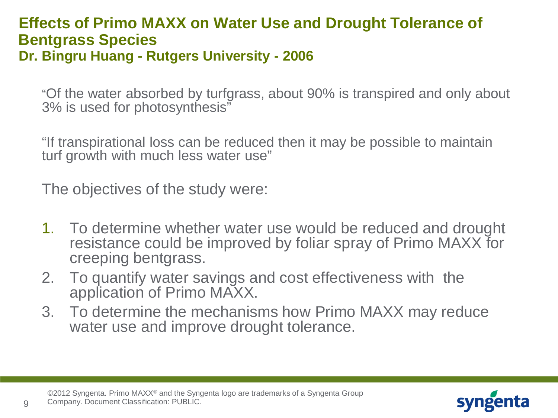#### **Effects of Primo MAXX on Water Use and Drought Tolerance of Bentgrass Species Dr. Bingru Huang - Rutgers University - 2006**

"Of the water absorbed by turfgrass, about 90% is transpired and only about 3% is used for photosynthesis"

"If transpirational loss can be reduced then it may be possible to maintain turf growth with much less water use"

The objectives of the study were:

- 1. To determine whether water use would be reduced and drought resistance could be improved by foliar spray of Primo MAXX for creeping bentgrass.
- 2. To quantify water savings and cost effectiveness with the application of Primo MAXX.
- 3. To determine the mechanisms how Primo MAXX may reduce water use and improve drought tolerance.



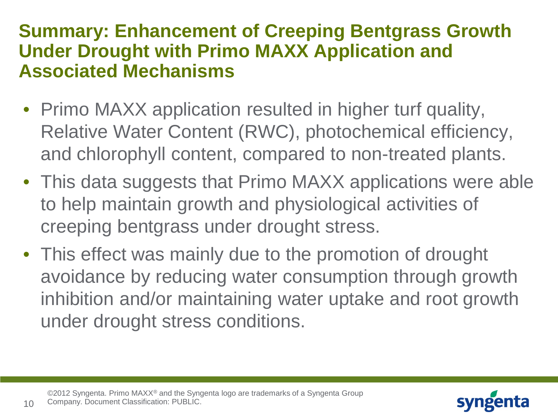#### **Summary: Enhancement of Creeping Bentgrass Growth Under Drought with Primo MAXX Application and Associated Mechanisms**

- Primo MAXX application resulted in higher turf quality, Relative Water Content (RWC), photochemical efficiency, and chlorophyll content, compared to non-treated plants.
- This data suggests that Primo MAXX applications were able to help maintain growth and physiological activities of creeping bentgrass under drought stress.
- This effect was mainly due to the promotion of drought avoidance by reducing water consumption through growth inhibition and/or maintaining water uptake and root growth under drought stress conditions.



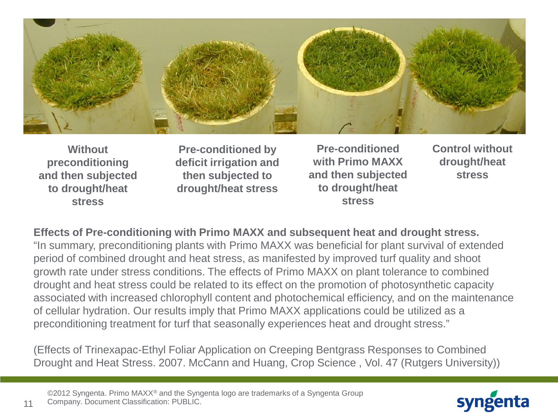

**Without preconditioning and then subjected to drought/heat stress**

**Pre-conditioned by deficit irrigation and then subjected to drought/heat stress**

**Pre-conditioned with Primo MAXX and then subjected to drought/heat stress**

**Control without drought/heat stress**

#### **Effects of Pre-conditioning with Primo MAXX and subsequent heat and drought stress.**

"In summary, preconditioning plants with Primo MAXX was beneficial for plant survival of extended period of combined drought and heat stress, as manifested by improved turf quality and shoot growth rate under stress conditions. The effects of Primo MAXX on plant tolerance to combined drought and heat stress could be related to its effect on the promotion of photosynthetic capacity associated with increased chlorophyll content and photochemical efficiency, and on the maintenance of cellular hydration. Our results imply that Primo MAXX applications could be utilized as a preconditioning treatment for turf that seasonally experiences heat and drought stress."

(Effects of Trinexapac-Ethyl Foliar Application on Creeping Bentgrass Responses to Combined Drought and Heat Stress. 2007. McCann and Huang, Crop Science, Vol. 47 (Rutgers University))

©2012 Syngenta. Primo MAXX® and the Syngenta logo are trademarks of a Syngenta Group Company. Document Classification: PUBLIC.

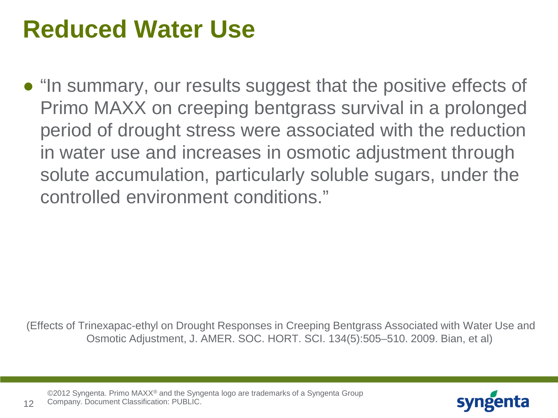## **Reduced Water Use**

● "In summary, our results suggest that the positive effects of Primo MAXX on creeping bentgrass survival in a prolonged period of drought stress were associated with the reduction in water use and increases in osmotic adjustment through solute accumulation, particularly soluble sugars, under the controlled environment conditions."

(Effects of Trinexapac-ethyl on Drought Responses in Creeping Bentgrass Associated with Water Use and Osmotic Adjustment, J. AMER. SOC. HORT. SCI. 134(5):505–510. 2009. Bian, et al)